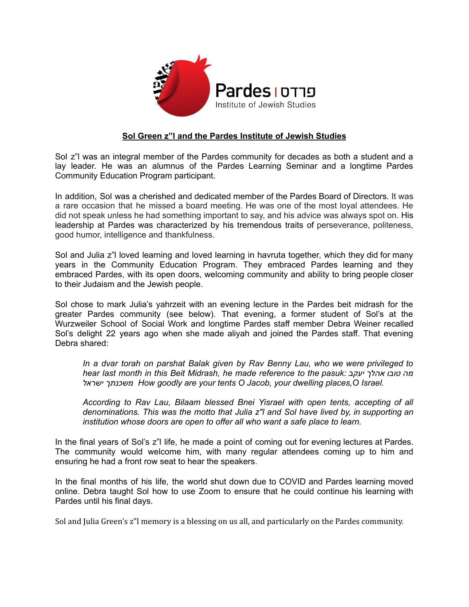

## **Sol Green z"l and the Pardes Institute of Jewish Studies**

Sol z"l was an integral member of the Pardes community for decades as both a student and a lay leader. He was an alumnus of the Pardes Learning Seminar and a longtime Pardes Community Education Program participant.

In addition, Sol was a cherished and dedicated member of the Pardes Board of Directors. It was a rare occasion that he missed a board meeting. He was one of the most loyal attendees. He did not speak unless he had something important to say, and his advice was always spot on. His leadership at Pardes was characterized by his tremendous traits of perseverance, politeness, good humor, intelligence and thankfulness.

Sol and Julia z"l loved learning and loved learning in havruta together, which they did for many years in the Community Education Program. They embraced Pardes learning and they embraced Pardes, with its open doors, welcoming community and ability to bring people closer to their Judaism and the Jewish people.

Sol chose to mark Julia's yahrzeit with an evening lecture in the Pardes beit midrash for the greater Pardes community (see below). That evening, a former student of Sol's at the Wurzweiler School of Social Work and longtime Pardes staff member Debra Weiner recalled Sol's delight 22 years ago when she made aliyah and joined the Pardes staff. That evening Debra shared:

*In a dvar torah on parshat Balak given by Rav Benny Lau, who we were privileged to hear last month in this Beit Midrash, he made reference to the pasuk: יעקב אהלך טובו מה ישראל משכנתך How goodly are your tents O Jacob, your dwelling places,O Israel.*

*According to Rav Lau, Bilaam blessed Bnei Yisrael with open tents, accepting of all denominations. This was the motto that Julia z"l and Sol have lived by, in supporting an institution whose doors are open to offer all who want a safe place to learn.*

In the final years of Sol's z"l life, he made a point of coming out for evening lectures at Pardes. The community would welcome him, with many regular attendees coming up to him and ensuring he had a front row seat to hear the speakers.

In the final months of his life, the world shut down due to COVID and Pardes learning moved online. Debra taught Sol how to use Zoom to ensure that he could continue his learning with Pardes until his final days.

Sol and Julia Green's z"l memory is a blessing on us all, and particularly on the Pardes community.